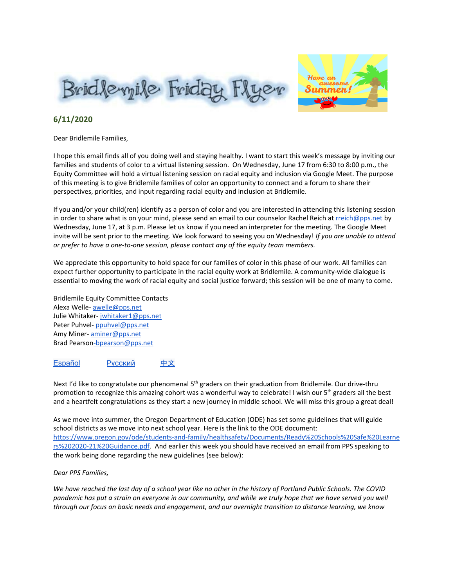



#### **6/11/2020**

Dear Bridlemile Families,

I hope this email finds all of you doing well and staying healthy. I want to start this week's message by inviting our families and students of color to a virtual listening session. On Wednesday, June 17 from 6:30 to 8:00 p.m., the Equity Committee will hold a virtual listening session on racial equity and inclusion via Google Meet. The purpose of this meeting is to give Bridlemile families of color an opportunity to connect and a forum to share their perspectives, priorities, and input regarding racial equity and inclusion at Bridlemile.

If you and/or your child(ren) identify as a person of color and you are interested in attending this listening session in order to share what is on your mind, please send an email to our counselor Rachel Reich at rreich@pps.net by Wednesday, June 17, at 3 p.m. Please let us know if you need an interpreter for the meeting. The Google Meet invite will be sent prior to the meeting. We look forward to seeing you on Wednesday! *If you are unable to attend or prefer to have a one-to-one session, please contact any of the equity team members.*

We appreciate this opportunity to hold space for our families of color in this phase of our work. All families can expect further opportunity to participate in the racial equity work at Bridlemile. A community-wide dialogue is essential to moving the work of racial equity and social justice forward; this session will be one of many to come.

Bridlemile Equity Committee Contacts Alexa Welle- [awelle@pps.net](mailto:awelle@pps.net) Julie Whitaker- [jwhitaker1@pps.net](mailto:jwhitaker1@pps.net) Peter Puhvel- [ppuhvel@pps.net](mailto:ppuhvel@pps.net) Amy Miner- [aminer@pps.net](mailto:aminer@pps.net) Brad [Pearson-bpearson@pps.net](mailto:Pearson-bpearson@pps.net)

#### [Español](https://drive.google.com/file/d/1S-c91ep6sIrNZ0ECd0nEA0FY6IuKWeBb/view?usp=sharing) Русский [中文](https://drive.google.com/file/d/1u8hyRZ36oaKCxMO7t_k8VboFw08p4_A9/view?usp=sharing)

Next I'd like to congratulate our phenomenal 5<sup>th</sup> graders on their graduation from Bridlemile. Our drive-thru promotion to recognize this amazing cohort was a wonderful way to celebrate! I wish our 5<sup>th</sup> graders all the best and a heartfelt congratulations as they start a new journey in middle school. We will miss this group a great deal!

As we move into summer, the Oregon Department of Education (ODE) has set some guidelines that will guide school districts as we move into next school year. Here is the link to the ODE document[:](https://www.oregon.gov/ode/students-and-family/healthsafety/Documents/Ready%20Schools%20Safe%20Learners%202020-21%20Guidance.pdf) [https://www.oregon.gov/ode/students-and-family/healthsafety/Documents/Ready%20Schools%20Safe%20Learne](https://www.oregon.gov/ode/students-and-family/healthsafety/Documents/Ready%20Schools%20Safe%20Learners%202020-21%20Guidance.pdf) [rs%202020-21%20Guidance.pdf.](https://www.oregon.gov/ode/students-and-family/healthsafety/Documents/Ready%20Schools%20Safe%20Learners%202020-21%20Guidance.pdf) And earlier this week you should have received an email from PPS speaking to the work being done regarding the new guidelines (see below):

#### *Dear PPS Families,*

We have reached the last day of a school year like no other in the history of Portland Public Schools. The COVID pandemic has put a strain on everyone in our community, and while we truly hope that we have served you well through our focus on basic needs and engagement, and our overnight transition to distance learning, we know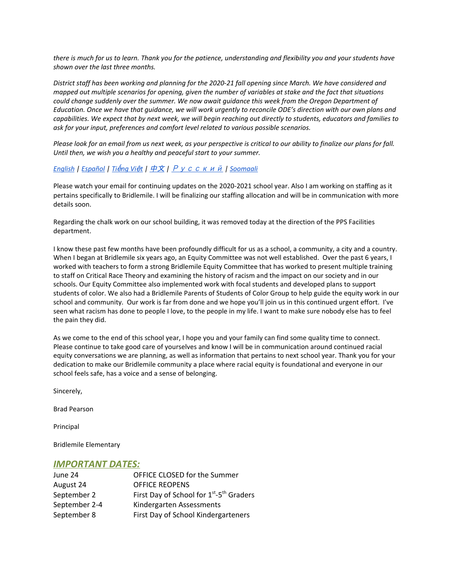there is much for us to learn. Thank you for the patience, understanding and flexibility you and your students have *shown over the last three months.*

District staff has been working and planning for the 2020-21 fall opening since March. We have considered and mapped out multiple scenarios for opening, given the number of variables at stake and the fact that situations *could change suddenly over the summer. We now await guidance this week from the Oregon Department of* Education. Once we have that guidance, we will work urgently to reconcile ODE's direction with our own plans and capabilities. We expect that by next week, we will begin reaching out directly to students, educators and families to *ask for your input, preferences and comfort level related to various possible scenarios.*

Please look for an email from us next week, as your perspective is critical to our ability to finalize our plans for fall. *Until then, we wish you a healthy and peaceful start to your summer.*

#### *[English](http://track.spe.schoolmessenger.com/f/a/CJ86-9qk5U-BEbpkQ-lirQ~~/AAAAAQA~/RgRgwkVLP0RcaHR0cHM6Ly93d3cucHBzLm5ldC9jbXMvbGliL09SMDE5MTMyMjQvQ2VudHJpY2l0eS9Eb21haW4vNC9GYWxsX01lc3NhZ2UtMDYuMTAuMTAtRW5nbGlzaC5wZGZXB3NjaG9vbG1CCgBGyxHhXpU3gENSEGtlbGx3b29kQHBwcy5uZXRYBAAAAAE~) | [Español](http://track.spe.schoolmessenger.com/f/a/UnrntIDITN8q5R6iWgE7rQ~~/AAAAAQA~/RgRgwkVLP0RcaHR0cHM6Ly93d3cucHBzLm5ldC9jbXMvbGliL09SMDE5MTMyMjQvQ2VudHJpY2l0eS9Eb21haW4vNC9GYWxsX01lc3NhZ2UtMDYuMTAuMTAtU3BhbmlzaC5wZGZXB3NjaG9vbG1CCgBGyxHhXpU3gENSEGtlbGx3b29kQHBwcy5uZXRYBAAAAAE~) | Ti*ế*[ng](http://track.spe.schoolmessenger.com/f/a/K1SD02cFYM3S_aYMNurgrw~~/AAAAAQA~/RgRgwkVLP0RfaHR0cHM6Ly93d3cucHBzLm5ldC9jbXMvbGliL09SMDE5MTMyMjQvQ2VudHJpY2l0eS9Eb21haW4vNC9GYWxsX01lc3NhZ2UtMDYuMTAuMTAtVmlldG5hbWVzZS5wZGZXB3NjaG9vbG1CCgBGyxHhXpU3gENSEGtlbGx3b29kQHBwcy5uZXRYBAAAAAE~) Vi*ệ*t |* [中文](http://track.spe.schoolmessenger.com/f/a/pR7MRAwsqTky9TkUADkyqA~~/AAAAAQA~/RgRgwkVLP0RcaHR0cHM6Ly93d3cucHBzLm5ldC9jbXMvbGliL09SMDE5MTMyMjQvQ2VudHJpY2l0eS9Eb21haW4vNC9GYWxsX01lc3NhZ2UtMDYuMTAuMTAtQ2hpbmVzZS5wZGZXB3NjaG9vbG1CCgBGyxHhXpU3gENSEGtlbGx3b29kQHBwcy5uZXRYBAAAAAE~) *|* [Русский](http://track.spe.schoolmessenger.com/f/a/sx3eqk7k8XAAtW6kEoHFCw~~/AAAAAQA~/RgRgwkVLP0RcaHR0cHM6Ly93d3cucHBzLm5ldC9jbXMvbGliL09SMDE5MTMyMjQvQ2VudHJpY2l0eS9Eb21haW4vNC9GYWxsX01lc3NhZ2UtMDYuMTAuMTAtUnVzc2lhbi5wZGZXB3NjaG9vbG1CCgBGyxHhXpU3gENSEGtlbGx3b29kQHBwcy5uZXRYBAAAAAE~) *| [Soomaali](http://track.spe.schoolmessenger.com/f/a/7AitgqbC5USLYsYLLfM4Qg~~/AAAAAQA~/RgRgwkVLP0RbaHR0cHM6Ly93d3cucHBzLm5ldC9jbXMvbGliL09SMDE5MTMyMjQvQ2VudHJpY2l0eS9Eb21haW4vNC9GYWxsX01lc3NhZ2UtMDYuMTAuMTAtU29tYWxpLnBkZlcHc2Nob29sbUIKAEbLEeFelTeAQ1IQa2VsbHdvb2RAcHBzLm5ldFgEAAAAAQ~~)*

Please watch your email for continuing updates on the 2020-2021 school year. Also I am working on staffing as it pertains specifically to Bridlemile. I will be finalizing our staffing allocation and will be in communication with more details soon.

Regarding the chalk work on our school building, it was removed today at the direction of the PPS Facilities department.

I know these past few months have been profoundly difficult for us as a school, a community, a city and a country. When I began at Bridlemile six years ago, an Equity Committee was not well established. Over the past 6 years, I worked with teachers to form a strong Bridlemile Equity Committee that has worked to present multiple training to staff on Critical Race Theory and examining the history of racism and the impact on our society and in our schools. Our Equity Committee also implemented work with focal students and developed plans to support students of color. We also had a Bridlemile Parents of Students of Color Group to help guide the equity work in our school and community. Our work is far from done and we hope you'll join us in this continued urgent effort. I've seen what racism has done to people I love, to the people in my life. I want to make sure nobody else has to feel the pain they did.

As we come to the end of this school year, I hope you and your family can find some quality time to connect. Please continue to take good care of yourselves and know I will be in communication around continued racial equity conversations we are planning, as well as information that pertains to next school year. Thank you for your dedication to make our Bridlemile community a place where racial equity is foundational and everyone in our school feels safe, has a voice and a sense of belonging.

Sincerely,

Brad Pearson

Principal

Bridlemile Elementary

#### *IMPORTANT DATES:*

| June 24       | OFFICE CLOSED for the Summer                                     |
|---------------|------------------------------------------------------------------|
| August 24     | <b>OFFICE REOPENS</b>                                            |
| September 2   | First Day of School for 1 <sup>st</sup> -5 <sup>th</sup> Graders |
| September 2-4 | Kindergarten Assessments                                         |
| September 8   | First Day of School Kindergarteners                              |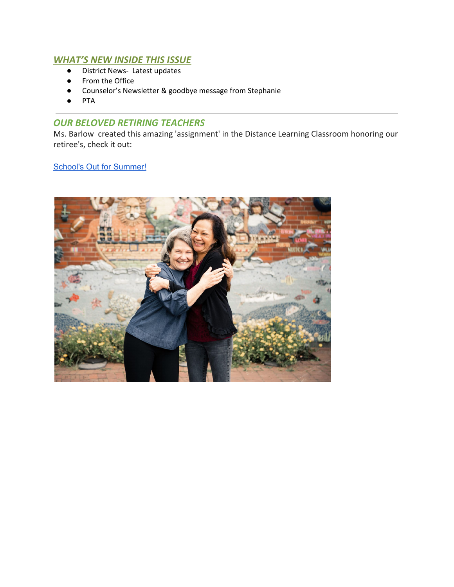# *WHAT'S NEW INSIDE THIS ISSUE*

- District News- Latest updates
- From the Office
- Counselor's Newsletter & goodbye message from Stephanie
- **PTA**

# *OUR BELOVED RETIRING TEACHERS*

Ms. Barlow created this amazing 'assignment' in the Distance Learning Classroom honoring our retiree's, check it out:

# School's Out for [Summer!](https://docs.google.com/presentation/d/1Y7agNypF-IrBKfkktOM4VtvoQbLuH9KFRj6rLlmkHPo/edit?usp=sharing)

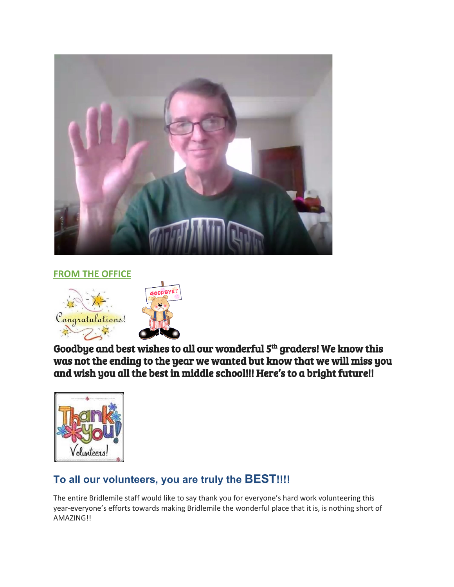

**FROM THE OFFICE**



Goodbye and best wishes to all our wonderful  $5^{\text{th}}$  graders! We know this was not the ending to the year we wanted but know that we will miss you and wish you all the best in middle school!!! Here's to a bright future!!



# **To all our volunteers, you are truly the BEST!!!!**

The entire Bridlemile staff would like to say thank you for everyone's hard work volunteering this year-everyone's efforts towards making Bridlemile the wonderful place that it is, is nothing short of AMAZING!!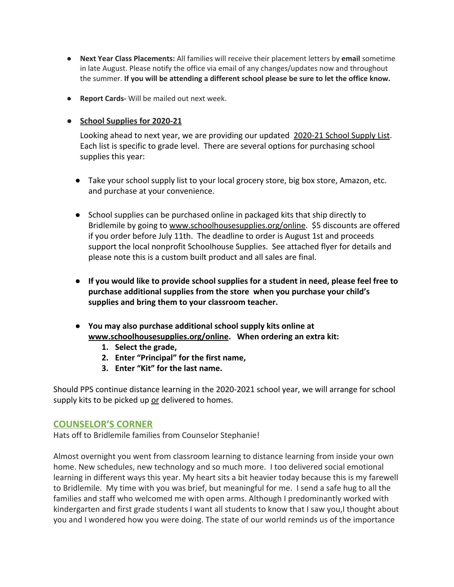- **Next Year Class Placements:** All families will receive their placement letters by **email** sometime in late August. Please notify the office via email of any changes/updates now and throughout the summer. **If you will be attending a different school please be sure to let the office know.**
- **Report Cards-** Will be mailed out next week.
- **● School Supplies for 2020-21**

Looking ahead to next year, we are providing our updated [2020-21 School Supply List.](https://drive.google.com/file/d/1nY0suHKBHvRRskMNXQaK6m1NmQ1DsMrT/view?usp=sharing) Each list is specific to grade level. There are several options for purchasing school supplies this year:

- Take your school supply list to your local grocery store, big box store, Amazon, etc. and purchase at your convenience.
- School supplies can be purchased online in packaged kits that ship directly to Bridlemile by going to [www.schoolhousesupplies.org/online](http://www.schoolhousesupplies.org/online). \$5 discounts are offered if you order before July 11th. The deadline to order is August 1st and proceeds support the local nonprofit Schoolhouse Supplies. See attached flyer for details and please note this is a custom built product and all sales are final.
- **● If you would like to provide school supplies for a student in need, please feel free to purchase additional supplies from the store when you purchase your child's supplies and bring them to your classroom teacher.**
- **● You may also purchase additional school supply kits online at [www.schoolhousesupplies.org/online](http://www.schoolhousesupplies.org/online). When ordering an extra kit:**
	- **1. Select the grade,**
	- **2. Enter "Principal" for the first name,**
	- **3. Enter "Kit" for the last name.**

Should PPS continue distance learning in the 2020-2021 school year, we will arrange for school supply kits to be picked up or delivered to homes.

# **COUNSELOR'S CORNER**

Hats off to Bridlemile families from Counselor Stephanie!

Almost overnight you went from classroom learning to distance learning from inside your own home. New schedules, new technology and so much more. I too delivered social emotional learning in different ways this year. My heart sits a bit heavier today because this is my farewell to Bridlemile. My time with you was brief, but meaningful for me. I send a safe hug to all the families and staff who welcomed me with open arms. Although I predominantly worked with kindergarten and first grade students I want all students to know that I saw you,I thought about you and I wondered how you were doing. The state of our world reminds us of the importance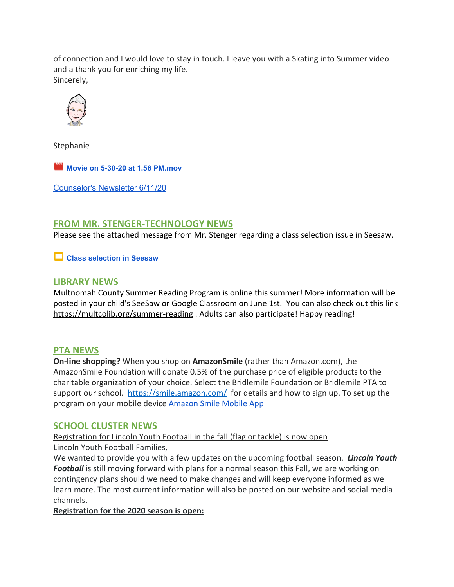of connection and I would love to stay in touch. I leave you with a Skating into Summer video and a thank you for enriching my life. Sincerely,



Stephanie

**Movie on 5-30-20 at 1.56 [PM.mov](https://drive.google.com/file/d/1XKjbMWRs2_BHSYDG1e61Olx-a6_p97-f/view?usp=drive_web)**

[Counselor's](https://docs.google.com/document/d/1NgnWsWIsHDVIBEQIyxqOK4HYPPhjvFim8wXsAQ_US4s/edit?usp=sharing) Newsletter 6/11/20

# **FROM MR. STENGER-TECHNOLOGY NEWS**

Please see the attached message from Mr. Stenger regarding a class selection issue in Seesaw.

## **Class [selection](https://docs.google.com/presentation/d/1i0HhzlF50IGHUFA4HJ6NVnZ7tvf266QenjkXEOzxkVA/edit?usp=drive_web) in Seesaw**

## **LIBRARY NEWS**

Multnomah County Summer Reading Program is online this summer! More information will be posted in your child's SeeSaw or Google Classroom on June 1st. You can also check out this link <https://multcolib.org/summer-reading> . Adults can also participate! Happy reading!

## **PTA NEWS**

**On-line shopping?** When you shop on **AmazonSmile** (rather than Amazon.com), the AmazonSmile Foundation will donate 0.5% of the purchase price of eligible products to the charitable organization of your choice. Select the Bridlemile Foundation or Bridlemile PTA to support our school. <https://smile.amazon.com/> for details and how to sign up. To set up the program on your mobile device [Amazon Smile Mobile App](https://www.amazon.com/b/ref=smi_www_sma_promo_go_smi_g8881249860?node=15576745011&pf_rd_p=4814960668881249860&pf_rd_s=smile-campaign&pf_rd_t=4201&pf_rd_i=navbar-4201&pf_rd_m=ATVPDKIKX0DER&pf_rd_r=FZKY6YK6YD2RS5MCCJWD)

## **SCHOOL CLUSTER NEWS**

Registration for Lincoln Youth Football in the fall (flag or tackle) is now open Lincoln Youth Football Families,

We wanted to provide you with a few updates on the upcoming football season. *Lincoln Youth* Football is still moving forward with plans for a normal season this Fall, we are working on contingency plans should we need to make changes and will keep everyone informed as we learn more. The most current information will also be posted on our website and social media channels.

## **Registration for the 2020 season is open:**